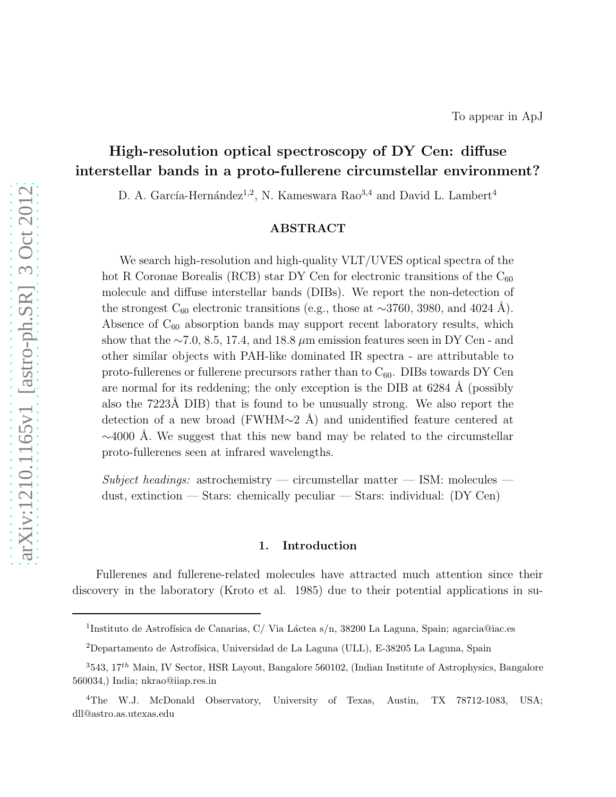# High-resolution optical spectroscopy of DY Cen: diffuse interstellar bands in a proto-fullerene circumstellar environment?

D. A. García-Hernández<sup>1,2</sup>, N. Kameswara Rao<sup>3,4</sup> and David L. Lambert<sup>4</sup>

## ABSTRACT

We search high-resolution and high-quality  $VLT/UVES$  optical spectra of the hot R Coronae Borealis (RCB) star DY Cen for electronic transitions of the  $C_{60}$ molecule and diffuse interstellar bands (DIBs). We report the non-detection of the strongest C<sub>60</sub> electronic transitions (e.g., those at ~3760, 3980, and 4024 Å). Absence of  $C_{60}$  absorption bands may support recent laboratory results, which show that the  $\sim$ 7.0, 8.5, 17.4, and 18.8 µm emission features seen in DY Cen - and other similar objects with PAH-like dominated IR spectra - are attributable to proto-fullerenes or fullerene precursors rather than to  $C_{60}$ . DIBs towards DY Cen are normal for its reddening; the only exception is the DIB at  $6284 \text{ Å}$  (possibly also the 7223Å DIB) that is found to be unusually strong. We also report the detection of a new broad (FWHM $\sim$ 2 Å) and unidentified feature centered at  $\sim$ 4000 Å. We suggest that this new band may be related to the circumstellar proto-fullerenes seen at infrared wavelengths.

 $Subject\ headings:$  astrochemistry — circumstellar matter — ISM: molecules dust, extinction — Stars: chemically peculiar — Stars: individual: (DY Cen)

### 1. Introduction

Fullerenes and fullerene-related molecules have attracted much attention since their discovery in the laboratory (Kroto et al. 1985) due to their potential applications in su-

<sup>&</sup>lt;sup>1</sup>Instituto de Astrofísica de Canarias, C/Via Láctea s/n, 38200 La Laguna, Spain; agarcia@iac.es

 $2$ Departamento de Astrofísica, Universidad de La Laguna (ULL), E-38205 La Laguna, Spain

 $3543, 17<sup>th</sup>$  Main, IV Sector, HSR Layout, Bangalore 560102, (Indian Institute of Astrophysics, Bangalore 560034,) India; nkrao@iiap.res.in

<sup>&</sup>lt;sup>4</sup>The W.J. McDonald Observatory, University of Texas, Austin, TX 78712-1083, USA; dll@astro.as.utexas.edu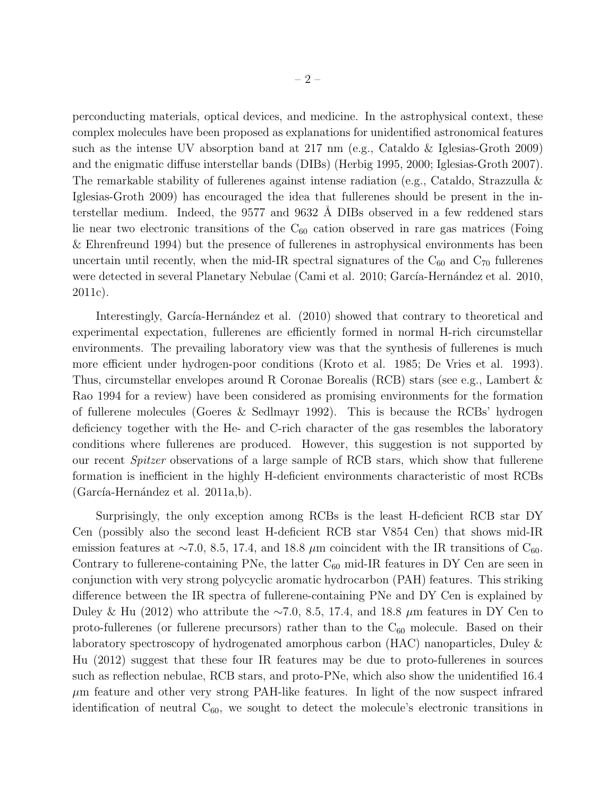perconducting materials, optical devices, and medicine. In the astrophysical context, these complex molecules have been proposed as explanations for unidentified astronomical features such as the intense UV absorption band at 217 nm (e.g., Cataldo & Iglesias-Groth 2009) and the enigmatic diffuse interstellar bands (DIBs) (Herbig 1995, 2000; Iglesias-Groth 2007). The remarkable stability of fullerenes against intense radiation (e.g., Cataldo, Strazzulla & Iglesias-Groth 2009) has encouraged the idea that fullerenes should be present in the interstellar medium. Indeed, the 9577 and 9632 Å DIBs observed in a few reddened stars lie near two electronic transitions of the  $C_{60}$  cation observed in rare gas matrices (Foing & Ehrenfreund 1994) but the presence of fullerenes in astrophysical environments has been uncertain until recently, when the mid-IR spectral signatures of the  $C_{60}$  and  $C_{70}$  fullerenes were detected in several Planetary Nebulae (Cami et al. 2010; García-Hernández et al. 2010, 2011c).

Interestingly, García-Hernández et al. (2010) showed that contrary to theoretical and experimental expectation, fullerenes are efficiently formed in normal H-rich circumstellar environments. The prevailing laboratory view was that the synthesis of fullerenes is much more efficient under hydrogen-poor conditions (Kroto et al. 1985; De Vries et al. 1993). Thus, circumstellar envelopes around R Coronae Borealis (RCB) stars (see e.g., Lambert & Rao 1994 for a review) have been considered as promising environments for the formation of fullerene molecules (Goeres & Sedlmayr 1992). This is because the RCBs' hydrogen deficiency together with the He- and C-rich character of the gas resembles the laboratory conditions where fullerenes are produced. However, this suggestion is not supported by our recent Spitzer observations of a large sample of RCB stars, which show that fullerene formation is inefficient in the highly H-deficient environments characteristic of most RCBs  $(García-Hernández et al. 2011a,b).$ 

Surprisingly, the only exception among RCBs is the least H-deficient RCB star DY Cen (possibly also the second least H-deficient RCB star V854 Cen) that shows mid-IR emission features at ~7.0, 8.5, 17.4, and 18.8  $\mu$ m coincident with the IR transitions of C<sub>60</sub>. Contrary to fullerene-containing PNe, the latter  $C_{60}$  mid-IR features in DY Cen are seen in conjunction with very strong polycyclic aromatic hydrocarbon (PAH) features. This striking difference between the IR spectra of fullerene-containing PNe and DY Cen is explained by Duley & Hu (2012) who attribute the ∼7.0, 8.5, 17.4, and 18.8  $\mu$ m features in DY Cen to proto-fullerenes (or fullerene precursors) rather than to the  $C_{60}$  molecule. Based on their laboratory spectroscopy of hydrogenated amorphous carbon (HAC) nanoparticles, Duley & Hu (2012) suggest that these four IR features may be due to proto-fullerenes in sources such as reflection nebulae, RCB stars, and proto-PNe, which also show the unidentified 16.4  $\mu$ m feature and other very strong PAH-like features. In light of the now suspect infrared identification of neutral  $C_{60}$ , we sought to detect the molecule's electronic transitions in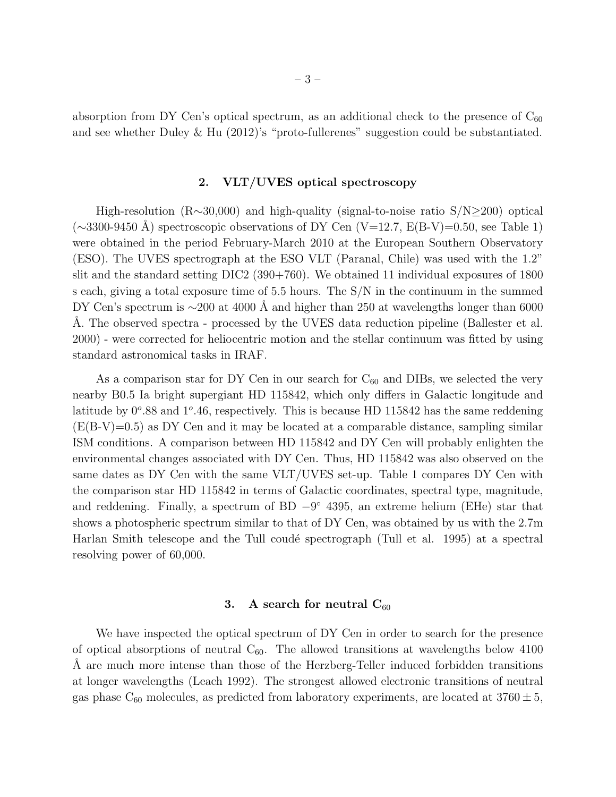absorption from DY Cen's optical spectrum, as an additional check to the presence of  $C_{60}$ and see whether Duley & Hu  $(2012)$ 's "proto-fullerenes" suggestion could be substantiated.

# 2. VLT/UVES optical spectroscopy

High-resolution (R∼30,000) and high-quality (signal-to-noise ratio S/N≥200) optical  $(\sim 3300-9450 \text{ Å})$  spectroscopic observations of DY Cen (V=12.7, E(B-V)=0.50, see Table 1) were obtained in the period February-March 2010 at the European Southern Observatory (ESO). The UVES spectrograph at the ESO VLT (Paranal, Chile) was used with the 1.2" slit and the standard setting DIC2 (390+760). We obtained 11 individual exposures of 1800 s each, giving a total exposure time of 5.5 hours. The S/N in the continuum in the summed DY Cen's spectrum is  $\sim$ 200 at 4000 Å and higher than 250 at wavelengths longer than 6000 A. The observed spectra - processed by the UVES data reduction pipeline (Ballester et al. 2000) - were corrected for heliocentric motion and the stellar continuum was fitted by using standard astronomical tasks in IRAF.

As a comparison star for DY Cen in our search for  $C_{60}$  and DIBs, we selected the very nearby B0.5 Ia bright supergiant HD 115842, which only differs in Galactic longitude and latitude by  $0^{\circ}$ .88 and  $1^{\circ}$ .46, respectively. This is because HD 115842 has the same reddening  $(E(B-V)=0.5)$  as DY Cen and it may be located at a comparable distance, sampling similar ISM conditions. A comparison between HD 115842 and DY Cen will probably enlighten the environmental changes associated with DY Cen. Thus, HD 115842 was also observed on the same dates as DY Cen with the same VLT/UVES set-up. Table 1 compares DY Cen with the comparison star HD 115842 in terms of Galactic coordinates, spectral type, magnitude, and reddening. Finally, a spectrum of  $BD -9^{\circ}$  4395, an extreme helium (EHe) star that shows a photospheric spectrum similar to that of DY Cen, was obtained by us with the 2.7m Harlan Smith telescope and the Tull coudé spectrograph (Tull et al. 1995) at a spectral resolving power of 60,000.

## 3. A search for neutral  $C_{60}$

We have inspected the optical spectrum of DY Cen in order to search for the presence of optical absorptions of neutral  $C_{60}$ . The allowed transitions at wavelengths below 4100 A are much more intense than those of the Herzberg-Teller induced forbidden transitions at longer wavelengths (Leach 1992). The strongest allowed electronic transitions of neutral gas phase  $C_{60}$  molecules, as predicted from laboratory experiments, are located at  $3760 \pm 5$ ,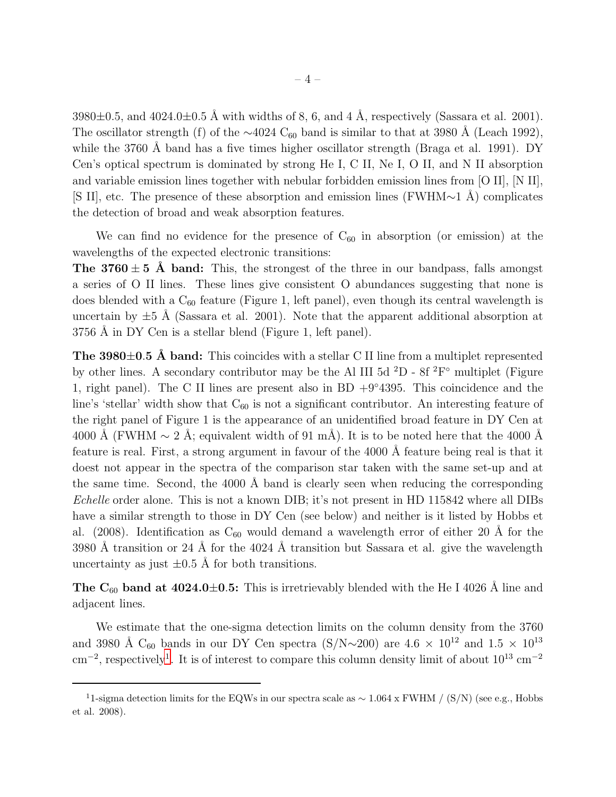$3980\pm0.5$ , and  $4024.0\pm0.5$  Å with widths of 8, 6, and 4 Å, respectively (Sassara et al. 2001). The oscillator strength (f) of the  $\sim$ 4024 C<sub>60</sub> band is similar to that at 3980 Å (Leach 1992), while the 3760 Å band has a five times higher oscillator strength (Braga et al. 1991). DY Cen's optical spectrum is dominated by strong He I, C II, Ne I, O II, and N II absorption and variable emission lines together with nebular forbidden emission lines from [O II], [N II], [S II], etc. The presence of these absorption and emission lines (FWHM∼1 Å) complicates the detection of broad and weak absorption features.

We can find no evidence for the presence of  $C_{60}$  in absorption (or emission) at the wavelengths of the expected electronic transitions:

**The 3760**  $\pm$  5 Å band: This, the strongest of the three in our bandpass, falls amongst a series of O II lines. These lines give consistent O abundances suggesting that none is does blended with a  $C_{60}$  feature (Figure 1, left panel), even though its central wavelength is uncertain by  $\pm 5$  Å (Sassara et al. 2001). Note that the apparent additional absorption at  $3756$  Å in DY Cen is a stellar blend (Figure 1, left panel).

The  $3980\pm0.5$  Å band: This coincides with a stellar C II line from a multiplet represented by other lines. A secondary contributor may be the Al III 5d  ${}^{2}D$  - 8f  ${}^{2}F^{\circ}$  multiplet (Figure 1, right panel). The C II lines are present also in BD  $+9°4395$ . This coincidence and the line's 'stellar' width show that  $C_{60}$  is not a significant contributor. An interesting feature of the right panel of Figure 1 is the appearance of an unidentified broad feature in DY Cen at 4000 Å (FWHM  $\sim 2$  Å; equivalent width of 91 mÅ). It is to be noted here that the 4000 Å feature is real. First, a strong argument in favour of the 4000 Å feature being real is that it doest not appear in the spectra of the comparison star taken with the same set-up and at the same time. Second, the  $4000 \text{ Å}$  band is clearly seen when reducing the corresponding Echelle order alone. This is not a known DIB; it's not present in HD 115842 where all DIBs have a similar strength to those in DY Cen (see below) and neither is it listed by Hobbs et al. (2008). Identification as  $C_{60}$  would demand a wavelength error of either 20 Å for the 3980 Å transition or 24 Å for the 4024 Å transition but Sassara et al. give the wavelength uncertainty as just  $\pm 0.5$  Å for both transitions.

The  $C_{60}$  band at 4024.0 $\pm$ 0.5: This is irretrievably blended with the He I 4026 Å line and adjacent lines.

We estimate that the one-sigma detection limits on the column density from the 3760 and 3980 Å C<sub>60</sub> bands in our DY Cen spectra (S/N∼200) are  $4.6 \times 10^{12}$  and  $1.5 \times 10^{13}$ cm<sup>-2</sup>, respectively<sup>[1](#page-3-0)</sup>. It is of interest to compare this column density limit of about 10<sup>13</sup> cm<sup>-2</sup>

<span id="page-3-0"></span><sup>&</sup>lt;sup>1</sup>1-sigma detection limits for the EQWs in our spectra scale as  $\sim 1.064$  x FWHM / (S/N) (see e.g., Hobbs et al. 2008).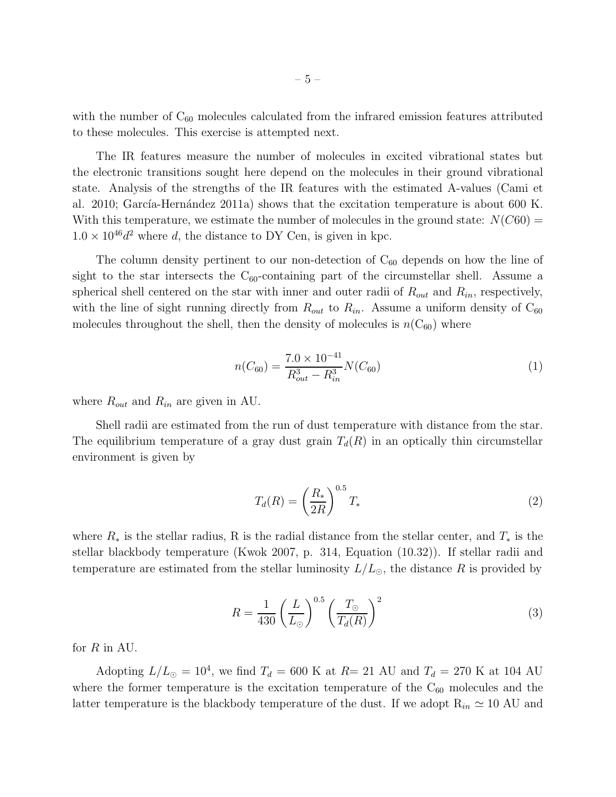with the number of  $C_{60}$  molecules calculated from the infrared emission features attributed to these molecules. This exercise is attempted next.

The IR features measure the number of molecules in excited vibrational states but the electronic transitions sought here depend on the molecules in their ground vibrational state. Analysis of the strengths of the IR features with the estimated A-values (Cami et al. 2010; García-Hernández 2011a) shows that the excitation temperature is about 600 K. With this temperature, we estimate the number of molecules in the ground state:  $N(C60)$  =  $1.0 \times 10^{46} d^2$  where d, the distance to DY Cen, is given in kpc.

The column density pertinent to our non-detection of  $C_{60}$  depends on how the line of sight to the star intersects the  $C_{60}$ -containing part of the circumstellar shell. Assume a spherical shell centered on the star with inner and outer radii of  $R_{out}$  and  $R_{in}$ , respectively, with the line of sight running directly from  $R_{out}$  to  $R_{in}$ . Assume a uniform density of  $C_{60}$ molecules throughout the shell, then the density of molecules is  $n(C_{60})$  where

$$
n(C_{60}) = \frac{7.0 \times 10^{-41}}{R_{out}^3 - R_{in}^3} N(C_{60})
$$
\n(1)

where  $R_{out}$  and  $R_{in}$  are given in AU.

Shell radii are estimated from the run of dust temperature with distance from the star. The equilibrium temperature of a gray dust grain  $T_d(R)$  in an optically thin circumstellar environment is given by

$$
T_d(R) = \left(\frac{R_*}{2R}\right)^{0.5} T_*\tag{2}
$$

where  $R_*$  is the stellar radius, R is the radial distance from the stellar center, and  $T_*$  is the stellar blackbody temperature (Kwok 2007, p. 314, Equation (10.32)). If stellar radii and temperature are estimated from the stellar luminosity  $L/L_{\odot}$ , the distance R is provided by

$$
R = \frac{1}{430} \left(\frac{L}{L_{\odot}}\right)^{0.5} \left(\frac{T_{\odot}}{T_d(R)}\right)^2 \tag{3}
$$

for R in AU.

Adopting  $L/L_{\odot} = 10^4$ , we find  $T_d = 600$  K at  $R = 21$  AU and  $T_d = 270$  K at 104 AU where the former temperature is the excitation temperature of the  $C_{60}$  molecules and the latter temperature is the blackbody temperature of the dust. If we adopt  $R_{in} \approx 10$  AU and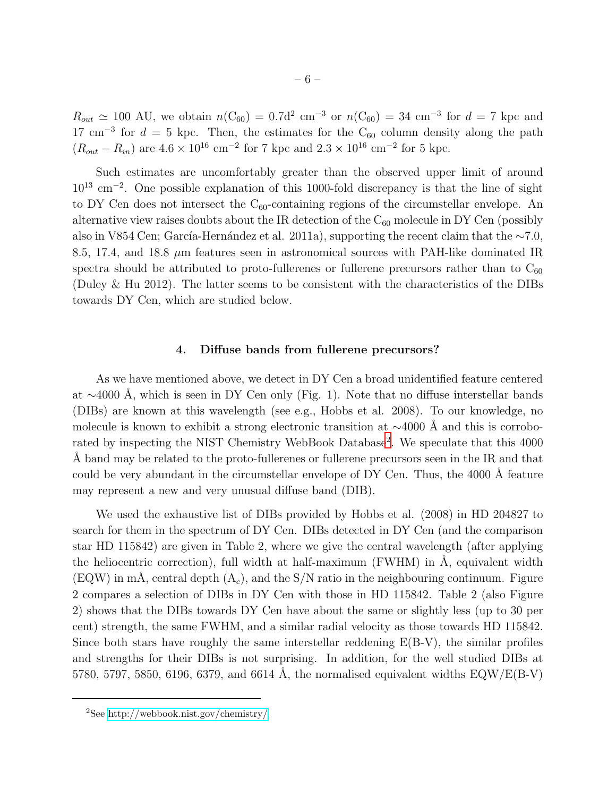$R_{out} \simeq 100$  AU, we obtain  $n(C_{60}) = 0.7d^2$  cm<sup>-3</sup> or  $n(C_{60}) = 34$  cm<sup>-3</sup> for  $d = 7$  kpc and 17 cm<sup>-3</sup> for  $d = 5$  kpc. Then, the estimates for the C<sub>60</sub> column density along the path  $(R_{out} - R_{in})$  are  $4.6 \times 10^{16}$  cm<sup>-2</sup> for 7 kpc and  $2.3 \times 10^{16}$  cm<sup>-2</sup> for 5 kpc.

Such estimates are uncomfortably greater than the observed upper limit of around 10<sup>13</sup> cm<sup>−</sup><sup>2</sup> . One possible explanation of this 1000-fold discrepancy is that the line of sight to DY Cen does not intersect the  $C_{60}$ -containing regions of the circumstellar envelope. An alternative view raises doubts about the IR detection of the  $C_{60}$  molecule in DY Cen (possibly also in V854 Cen; García-Hernández et al. 2011a), supporting the recent claim that the  $~\sim 7.0$ , 8.5, 17.4, and 18.8  $\mu$ m features seen in astronomical sources with PAH-like dominated IR spectra should be attributed to proto-fullerenes or fullerene precursors rather than to  $C_{60}$ (Duley & Hu 2012). The latter seems to be consistent with the characteristics of the DIBs towards DY Cen, which are studied below.

### 4. Diffuse bands from fullerene precursors?

As we have mentioned above, we detect in DY Cen a broad unidentified feature centered at  $\sim$ 4000 Å, which is seen in DY Cen only (Fig. 1). Note that no diffuse interstellar bands (DIBs) are known at this wavelength (see e.g., Hobbs et al. 2008). To our knowledge, no molecule is known to exhibit a strong electronic transition at  $\sim$ 4000 Å and this is corrobo-rated by inspecting the NIST Chemistry WebBook Database<sup>[2](#page-9-0)</sup>. We speculate that this 4000 A band may be related to the proto-fullerenes or fullerene precursors seen in the IR and that could be very abundant in the circumstellar envelope of DY Cen. Thus, the 4000 Å feature may represent a new and very unusual diffuse band (DIB).

We used the exhaustive list of DIBs provided by Hobbs et al. (2008) in HD 204827 to search for them in the spectrum of DY Cen. DIBs detected in DY Cen (and the comparison star HD 115842) are given in Table 2, where we give the central wavelength (after applying the heliocentric correction), full width at half-maximum  $(FWHM)$  in  $A$ , equivalent width (EQW) in mÅ, central depth  $(A<sub>c</sub>)$ , and the S/N ratio in the neighbouring continuum. Figure 2 compares a selection of DIBs in DY Cen with those in HD 115842. Table 2 (also Figure 2) shows that the DIBs towards DY Cen have about the same or slightly less (up to 30 per cent) strength, the same FWHM, and a similar radial velocity as those towards HD 115842. Since both stars have roughly the same interstellar reddening  $E(B-V)$ , the similar profiles and strengths for their DIBs is not surprising. In addition, for the well studied DIBs at 5780, 5797, 5850, 6196, 6379, and 6614 Å, the normalised equivalent widths  $EQW/E(B-V)$ 

<sup>2</sup>See [http://webbook.nist.gov/chemistry/.](http://webbook.nist.gov/chemistry/)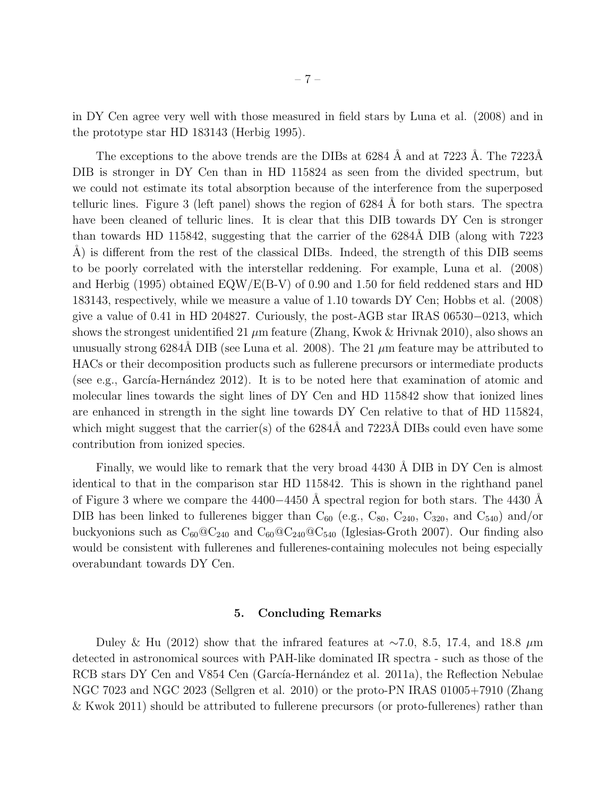in DY Cen agree very well with those measured in field stars by Luna et al. (2008) and in the prototype star HD 183143 (Herbig 1995).

The exceptions to the above trends are the DIBs at  $6284 \text{ Å}$  and at  $7223 \text{ Å}$ . The  $7223 \text{Å}$ DIB is stronger in DY Cen than in HD 115824 as seen from the divided spectrum, but we could not estimate its total absorption because of the interference from the superposed telluric lines. Figure 3 (left panel) shows the region of  $6284 \text{ Å}$  for both stars. The spectra have been cleaned of telluric lines. It is clear that this DIB towards DY Cen is stronger than towards HD 115842, suggesting that the carrier of the 6284Å DIB (along with 7223 A) is different from the rest of the classical DIBs. Indeed, the strength of this DIB seems to be poorly correlated with the interstellar reddening. For example, Luna et al. (2008) and Herbig (1995) obtained EQW/E(B-V) of 0.90 and 1.50 for field reddened stars and HD 183143, respectively, while we measure a value of 1.10 towards DY Cen; Hobbs et al. (2008) give a value of 0.41 in HD 204827. Curiously, the post-AGB star IRAS 06530−0213, which shows the strongest unidentified 21  $\mu$ m feature (Zhang, Kwok & Hrivnak 2010), also shows an unusually strong 6284Å DIB (see Luna et al. 2008). The 21  $\mu$ m feature may be attributed to HACs or their decomposition products such as fullerene precursors or intermediate products (see e.g., García-Hernández 2012). It is to be noted here that examination of atomic and molecular lines towards the sight lines of DY Cen and HD 115842 show that ionized lines are enhanced in strength in the sight line towards DY Cen relative to that of HD 115824, which might suggest that the carrier(s) of the  $6284\text{\AA}$  and  $7223\text{\AA}$  DIBs could even have some contribution from ionized species.

Finally, we would like to remark that the very broad 4430 Å DIB in DY Cen is almost identical to that in the comparison star HD 115842. This is shown in the righthand panel of Figure 3 where we compare the 4400−4450 Å spectral region for both stars. The 4430 Å DIB has been linked to fullerenes bigger than  $C_{60}$  (e.g.,  $C_{80}$ ,  $C_{240}$ ,  $C_{320}$ , and  $C_{540}$ ) and/or buckyonions such as  $C_{60} @ C_{240}$  and  $C_{60} @ C_{240} @ C_{540}$  (Iglesias-Groth 2007). Our finding also would be consistent with fullerenes and fullerenes-containing molecules not being especially overabundant towards DY Cen.

## 5. Concluding Remarks

Duley & Hu (2012) show that the infrared features at ~7.0, 8.5, 17.4, and 18.8  $\mu$ m detected in astronomical sources with PAH-like dominated IR spectra - such as those of the RCB stars DY Cen and V854 Cen (García-Hernández et al. 2011a), the Reflection Nebulae NGC 7023 and NGC 2023 (Sellgren et al. 2010) or the proto-PN IRAS 01005+7910 (Zhang & Kwok 2011) should be attributed to fullerene precursors (or proto-fullerenes) rather than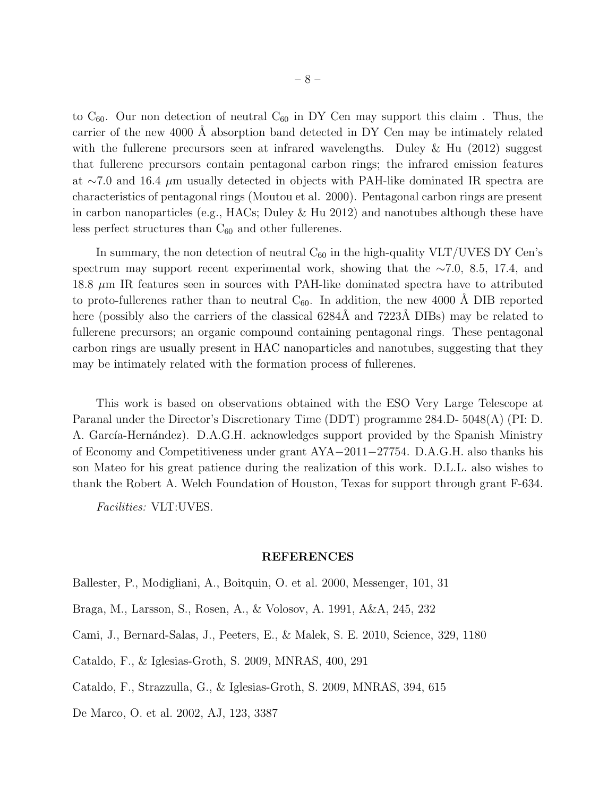to  $C_{60}$ . Our non detection of neutral  $C_{60}$  in DY Cen may support this claim. Thus, the carrier of the new 4000 Å absorption band detected in DY Cen may be intimately related with the fullerene precursors seen at infrared wavelengths. Duley & Hu (2012) suggest that fullerene precursors contain pentagonal carbon rings; the infrared emission features at ∼7.0 and 16.4  $\mu$ m usually detected in objects with PAH-like dominated IR spectra are characteristics of pentagonal rings (Moutou et al. 2000). Pentagonal carbon rings are present in carbon nanoparticles (e.g., HACs; Duley & Hu 2012) and nanotubes although these have less perfect structures than  $C_{60}$  and other fullerenes.

In summary, the non detection of neutral  $C_{60}$  in the high-quality VLT/UVES DY Cen's spectrum may support recent experimental work, showing that the ∼7.0, 8.5, 17.4, and 18.8 µm IR features seen in sources with PAH-like dominated spectra have to attributed to proto-fullerenes rather than to neutral  $C_{60}$ . In addition, the new 4000 Å DIB reported here (possibly also the carriers of the classical  $6284\text{\AA}$  and  $7223\text{\AA}$  DIBs) may be related to fullerene precursors; an organic compound containing pentagonal rings. These pentagonal carbon rings are usually present in HAC nanoparticles and nanotubes, suggesting that they may be intimately related with the formation process of fullerenes.

This work is based on observations obtained with the ESO Very Large Telescope at Paranal under the Director's Discretionary Time (DDT) programme 284.D- 5048(A) (PI: D. A. García-Hernández). D.A.G.H. acknowledges support provided by the Spanish Ministry of Economy and Competitiveness under grant AYA−2011−27754. D.A.G.H. also thanks his son Mateo for his great patience during the realization of this work. D.L.L. also wishes to thank the Robert A. Welch Foundation of Houston, Texas for support through grant F-634.

Facilities: VLT:UVES.

### REFERENCES

- Ballester, P., Modigliani, A., Boitquin, O. et al. 2000, Messenger, 101, 31
- Braga, M., Larsson, S., Rosen, A., & Volosov, A. 1991, A&A, 245, 232
- Cami, J., Bernard-Salas, J., Peeters, E., & Malek, S. E. 2010, Science, 329, 1180
- Cataldo, F., & Iglesias-Groth, S. 2009, MNRAS, 400, 291
- Cataldo, F., Strazzulla, G., & Iglesias-Groth, S. 2009, MNRAS, 394, 615
- De Marco, O. et al. 2002, AJ, 123, 3387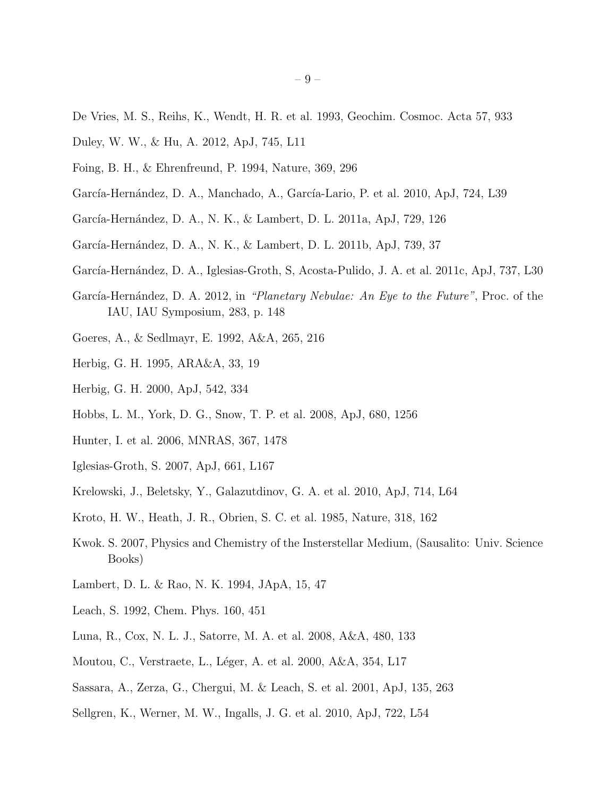- De Vries, M. S., Reihs, K., Wendt, H. R. et al. 1993, Geochim. Cosmoc. Acta 57, 933
- Duley, W. W., & Hu, A. 2012, ApJ, 745, L11
- Foing, B. H., & Ehrenfreund, P. 1994, Nature, 369, 296
- García-Hernández, D. A., Manchado, A., García-Lario, P. et al. 2010, ApJ, 724, L39
- García-Hernández, D. A., N. K., & Lambert, D. L. 2011a, ApJ, 729, 126
- García-Hernández, D. A., N. K., & Lambert, D. L. 2011b, ApJ, 739, 37
- García-Hernández, D. A., Iglesias-Groth, S. Acosta-Pulido, J. A. et al. 2011c, ApJ, 737, L30
- García-Hernández, D. A. 2012, in "Planetary Nebulae: An Eye to the Future", Proc. of the IAU, IAU Symposium, 283, p. 148
- Goeres, A., & Sedlmayr, E. 1992, A&A, 265, 216
- Herbig, G. H. 1995, ARA&A, 33, 19
- Herbig, G. H. 2000, ApJ, 542, 334
- Hobbs, L. M., York, D. G., Snow, T. P. et al. 2008, ApJ, 680, 1256
- Hunter, I. et al. 2006, MNRAS, 367, 1478
- Iglesias-Groth, S. 2007, ApJ, 661, L167
- Krelowski, J., Beletsky, Y., Galazutdinov, G. A. et al. 2010, ApJ, 714, L64
- Kroto, H. W., Heath, J. R., Obrien, S. C. et al. 1985, Nature, 318, 162
- Kwok. S. 2007, Physics and Chemistry of the Insterstellar Medium, (Sausalito: Univ. Science Books)
- Lambert, D. L. & Rao, N. K. 1994, JApA, 15, 47
- Leach, S. 1992, Chem. Phys. 160, 451
- Luna, R., Cox, N. L. J., Satorre, M. A. et al. 2008, A&A, 480, 133
- Moutou, C., Verstraete, L., Léger, A. et al. 2000, A&A, 354, L17
- Sassara, A., Zerza, G., Chergui, M. & Leach, S. et al. 2001, ApJ, 135, 263
- Sellgren, K., Werner, M. W., Ingalls, J. G. et al. 2010, ApJ, 722, L54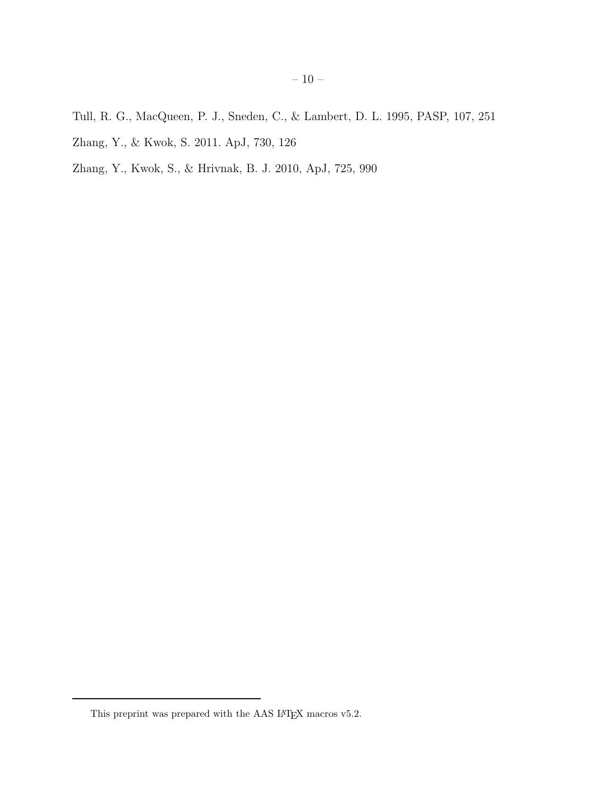- Tull, R. G., MacQueen, P. J., Sneden, C., & Lambert, D. L. 1995, PASP, 107, 251
- Zhang, Y., & Kwok, S. 2011. ApJ, 730, 126
- Zhang, Y., Kwok, S., & Hrivnak, B. J. 2010, ApJ, 725, 990

<span id="page-9-0"></span>This preprint was prepared with the AAS  $\rm \emph{L4}$  macros v5.2.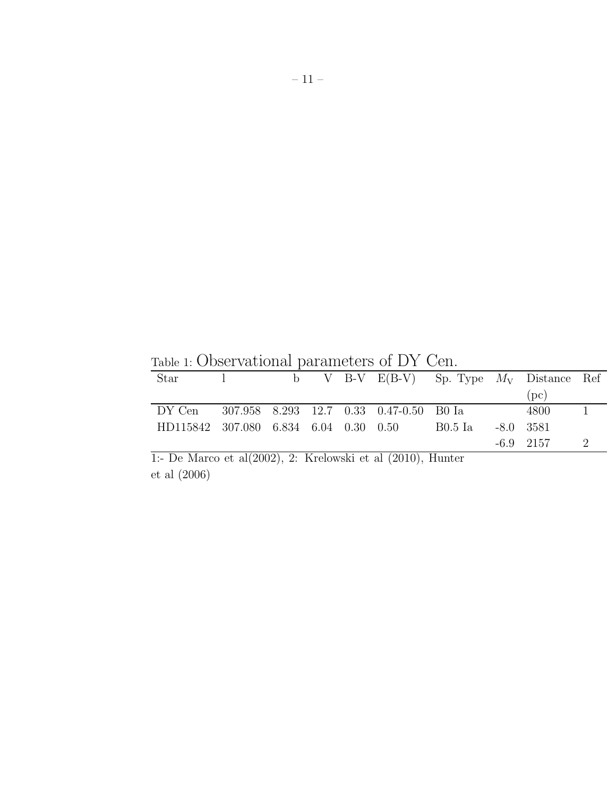| Table 1. Obset vacional parameters of D.I. Cen.          |  |  |  |  |  |                                                |  |             |  |  |  |
|----------------------------------------------------------|--|--|--|--|--|------------------------------------------------|--|-------------|--|--|--|
| Star                                                     |  |  |  |  |  | 1 b V B-V $E(B-V)$ Sp. Type $M_V$ Distance Ref |  |             |  |  |  |
|                                                          |  |  |  |  |  |                                                |  | (pc)        |  |  |  |
| DY Cen 307.958 8.293 12.7 0.33 0.47-0.50 B0 Ia           |  |  |  |  |  |                                                |  | - 4800 -    |  |  |  |
| HD115842 307.080 6.834 6.04 0.30 0.50 B0.5 Ia -8.0 3581  |  |  |  |  |  |                                                |  |             |  |  |  |
|                                                          |  |  |  |  |  |                                                |  | $-6.9$ 2157 |  |  |  |
| 1. De Marco et al(2002) 2. Krelowski et al (2010) Hunter |  |  |  |  |  |                                                |  |             |  |  |  |

Table 1: Observational parameters of DY Cen.

1:- De Marco et al(2002), 2: Krelowski et al (2010), Hunter et al (2006)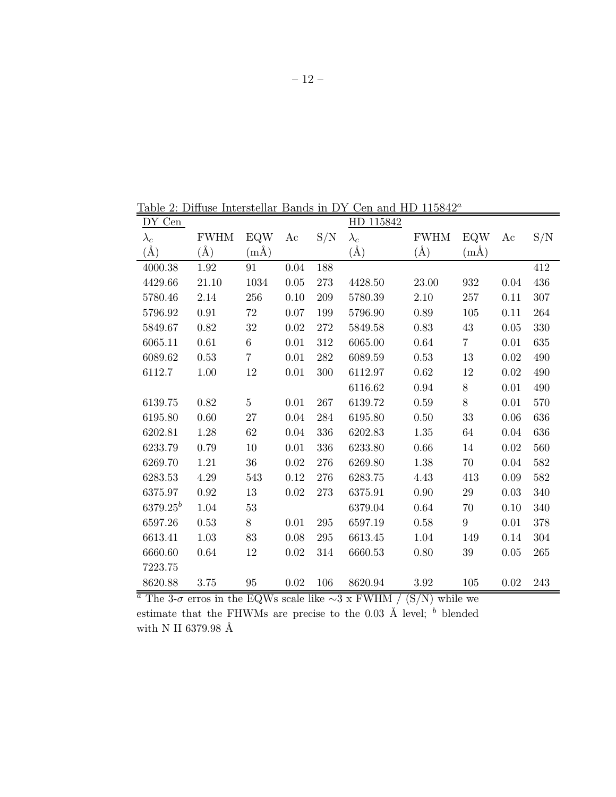Table 2: Diffuse Interstellar Bands in DY Cen and HD  $115842^a$ 

| DY Cen        |             |                |          |             | HD 115842   |             |                  |      |         |
|---------------|-------------|----------------|----------|-------------|-------------|-------------|------------------|------|---------|
| $\lambda_c$   | <b>FWHM</b> | EQW            | Ac       | S/N         | $\lambda_c$ | <b>FWHM</b> | <b>EQW</b>       | Ac   | S/N     |
| $(\rm \AA)$   | $(\AA)$     | $(m\AA)$       |          |             | $(\AA)$     | $(\AA)$     | $(m\AA)$         |      |         |
| 4000.38       | 1.92        | 91             | $0.04\,$ | 188         |             |             |                  |      | 412     |
| 4429.66       | 21.10       | 1034           | 0.05     | 273         | 4428.50     | 23.00       | 932              | 0.04 | 436     |
| 5780.46       | 2.14        | 256            | 0.10     | 209         | 5780.39     | $2.10\,$    | 257              | 0.11 | 307     |
| 5796.92       | 0.91        | 72             | 0.07     | 199         | 5796.90     | 0.89        | 105              | 0.11 | 264     |
| 5849.67       | $0.82\,$    | $32\,$         | $0.02\,$ | $272\,$     | 5849.58     | 0.83        | $43\,$           | 0.05 | $330\,$ |
| 6065.11       | 0.61        | $\,6\,$        | $0.01\,$ | 312         | 6065.00     | 0.64        | $\overline{7}$   | 0.01 | 635     |
| 6089.62       | 0.53        | $\overline{7}$ | $0.01\,$ | ${\bf 282}$ | 6089.59     | 0.53        | 13               | 0.02 | 490     |
| 6112.7        | 1.00        | 12             | 0.01     | 300         | 6112.97     | $0.62\,$    | 12               | 0.02 | 490     |
|               |             |                |          |             | 6116.62     | 0.94        | $8\,$            | 0.01 | 490     |
| 6139.75       | 0.82        | $\overline{5}$ | 0.01     | 267         | 6139.72     | 0.59        | 8                | 0.01 | 570     |
| 6195.80       | 0.60        | 27             | $0.04\,$ | 284         | 6195.80     | 0.50        | 33               | 0.06 | 636     |
| 6202.81       | 1.28        | 62             | 0.04     | 336         | 6202.83     | 1.35        | 64               | 0.04 | 636     |
| 6233.79       | 0.79        | 10             | 0.01     | 336         | 6233.80     | 0.66        | 14               | 0.02 | 560     |
| 6269.70       | 1.21        | $36\,$         | $0.02\,$ | 276         | 6269.80     | 1.38        | 70               | 0.04 | $582\,$ |
| 6283.53       | 4.29        | 543            | $0.12\,$ | 276         | 6283.75     | 4.43        | 413              | 0.09 | $582\,$ |
| 6375.97       | 0.92        | 13             | $0.02\,$ | 273         | 6375.91     | 0.90        | 29               | 0.03 | 340     |
| $6379.25^{b}$ | 1.04        | $53\,$         |          |             | 6379.04     | $0.64\,$    | 70               | 0.10 | 340     |
| 6597.26       | 0.53        | 8              | 0.01     | 295         | 6597.19     | 0.58        | $\boldsymbol{9}$ | 0.01 | 378     |
| 6613.41       | 1.03        | 83             | $0.08\,$ | 295         | 6613.45     | $1.04\,$    | 149              | 0.14 | $304\,$ |
| 6660.60       | 0.64        | 12             | $0.02\,$ | 314         | 6660.53     | $0.80\,$    | 39               | 0.05 | $265\,$ |
| 7223.75       |             |                |          |             |             |             |                  |      |         |
| 8620.88       | 3.75        | 95             | 0.02     | 106         | 8620.94     | 3.92        | 105              | 0.02 | 243     |

<sup>a</sup> The 3- $\sigma$  erros in the EQWs scale like ∼3 x FWHM / (S/N) while we estimate that the FHWMs are precise to the 0.03  $\AA$  level;  $\overset{b}{b}$  blended with N II 6379.98  $\hbox{\AA}$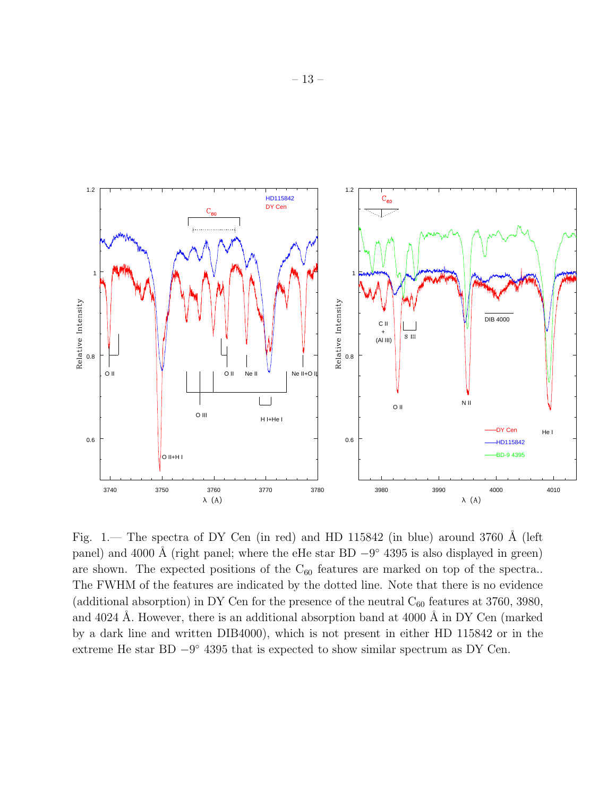

Fig. 1.— The spectra of DY Cen (in red) and HD 115842 (in blue) around 3760 Å (left panel) and 4000 Å (right panel; where the eHe star BD  $-9^{\circ}$  4395 is also displayed in green) are shown. The expected positions of the  $C_{60}$  features are marked on top of the spectra.. The FWHM of the features are indicated by the dotted line. Note that there is no evidence (additional absorption) in DY Cen for the presence of the neutral  $C_{60}$  features at 3760, 3980, and 4024 Å. However, there is an additional absorption band at 4000 Å in DY Cen (marked by a dark line and written DIB4000), which is not present in either HD 115842 or in the extreme He star BD  $-9^{\circ}$  4395 that is expected to show similar spectrum as DY Cen.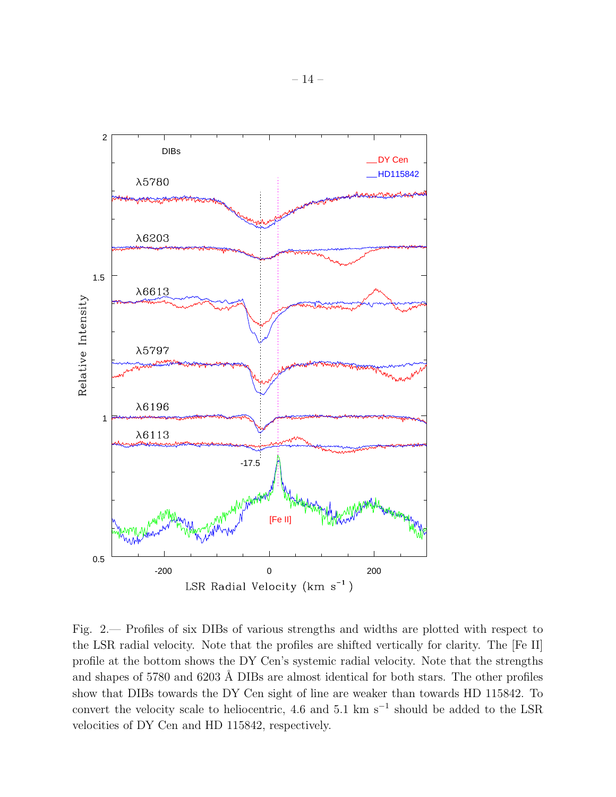

Fig. 2.— Profiles of six DIBs of various strengths and widths are plotted with respect to the LSR radial velocity. Note that the profiles are shifted vertically for clarity. The [Fe II] profile at the bottom shows the DY Cen's systemic radial velocity. Note that the strengths and shapes of 5780 and 6203 Å DIBs are almost identical for both stars. The other profiles show that DIBs towards the DY Cen sight of line are weaker than towards HD 115842. To convert the velocity scale to heliocentric, 4.6 and 5.1 km s<sup> $-1$ </sup> should be added to the LSR velocities of DY Cen and HD 115842, respectively.